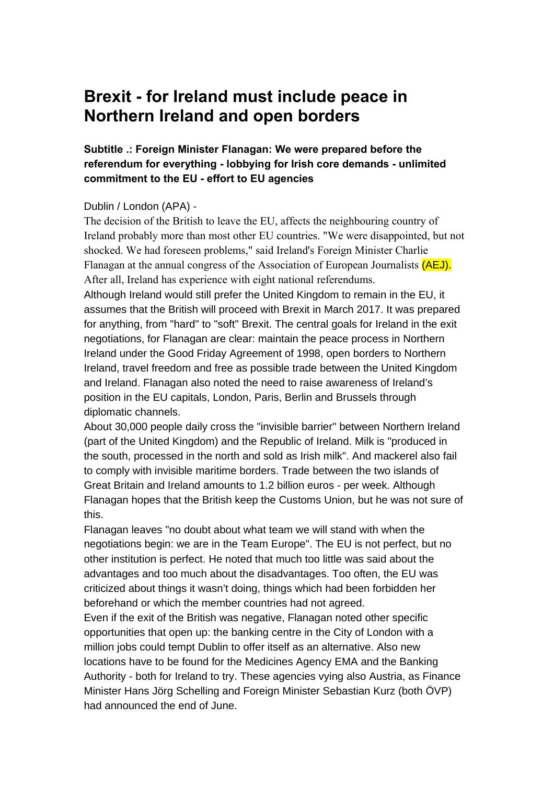### **Brexit - for Ireland must include peace in Northern Ireland and open borders**

### **Subtitle .: Foreign Minister Flanagan: We were prepared before the referendum for everything - lobbying for Irish core demands - unlimited commitment to the EU - effort to EU agencies**

#### Dublin / London (APA) -

The decision of the British to leave the EU, affects the neighbouring country of Ireland probably more than most other EU countries. "We were disappointed, but not shocked. We had foreseen problems," said Ireland's Foreign Minister Charlie Flanagan at the annual congress of the Association of European Journalists (AEJ). After all, Ireland has experience with eight national referendums.

Although Ireland would still prefer the United Kingdom to remain in the EU, it assumes that the British will proceed with Brexit in March 2017. It was prepared for anything, from "hard" to "soft" Brexit. The central goals for Ireland in the exit negotiations, for Flanagan are clear: maintain the peace process in Northern Ireland under the Good Friday Agreement of 1998, open borders to Northern Ireland, travel freedom and free as possible trade between the United Kingdom and Ireland. Flanagan also noted the need to raise awareness of Ireland's position in the EU capitals, London, Paris, Berlin and Brussels through diplomatic channels.

About 30,000 people daily cross the "invisible barrier" between Northern Ireland (part of the United Kingdom) and the Republic of Ireland. Milk is "produced in the south, processed in the north and sold as Irish milk". And mackerel also fail to comply with invisible maritime borders. Trade between the two islands of Great Britain and Ireland amounts to 1.2 billion euros - per week. Although Flanagan hopes that the British keep the Customs Union, but he was not sure of this.

Flanagan leaves "no doubt about what team we will stand with when the negotiations begin: we are in the Team Europe". The EU is not perfect, but no other institution is perfect. He noted that much too little was said about the advantages and too much about the disadvantages. Too often, the EU was criticized about things it wasn't doing, things which had been forbidden her beforehand or which the member countries had not agreed.

Even if the exit of the British was negative, Flanagan noted other specific opportunities that open up: the banking centre in the City of London with a million jobs could tempt Dublin to offer itself as an alternative. Also new locations have to be found for the Medicines Agency EMA and the Banking Authority - both for Ireland to try. These agencies vying also Austria, as Finance Minister Hans Jörg Schelling and Foreign Minister Sebastian Kurz (both ÖVP) had announced the end of June.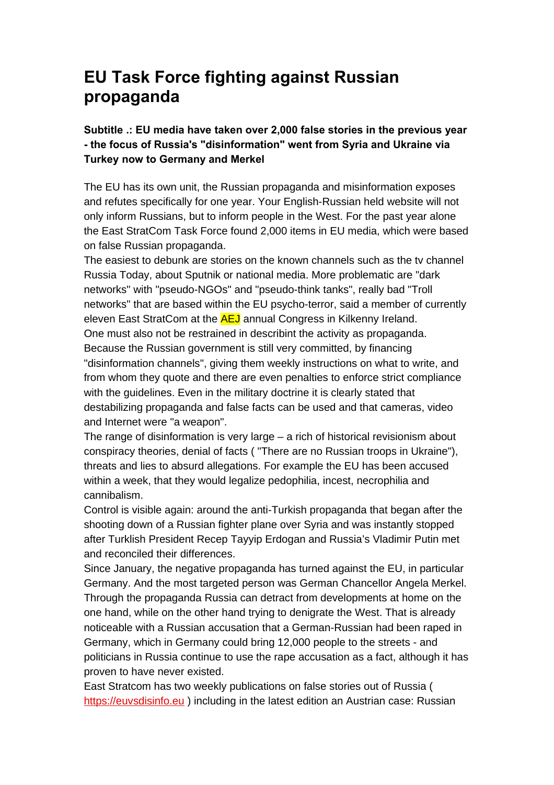# **EU Task Force fighting against Russian propaganda**

### **Subtitle .: EU media have taken over 2,000 false stories in the previous year - the focus of Russia's "disinformation" went from Syria and Ukraine via Turkey now to Germany and Merkel**

The EU has its own unit, the Russian propaganda and misinformation exposes and refutes specifically for one year. Your English-Russian held website will not only inform Russians, but to inform people in the West. For the past year alone the East StratCom Task Force found 2,000 items in EU media, which were based on false Russian propaganda.

The easiest to debunk are stories on the known channels such as the tv channel Russia Today, about Sputnik or national media. More problematic are "dark networks" with "pseudo-NGOs" and "pseudo-think tanks", really bad "Troll networks" that are based within the EU psycho-terror, said a member of currently eleven East StratCom at the **AEJ** annual Congress in Kilkenny Ireland. One must also not be restrained in describint the activity as propaganda. Because the Russian government is still very committed, by financing "disinformation channels", giving them weekly instructions on what to write, and from whom they quote and there are even penalties to enforce strict compliance with the guidelines. Even in the military doctrine it is clearly stated that destabilizing propaganda and false facts can be used and that cameras, video and Internet were "a weapon".

The range of disinformation is very large – a rich of historical revisionism about conspiracy theories, denial of facts ( "There are no Russian troops in Ukraine"), threats and lies to absurd allegations. For example the EU has been accused within a week, that they would legalize pedophilia, incest, necrophilia and cannibalism.

Control is visible again: around the anti-Turkish propaganda that began after the shooting down of a Russian fighter plane over Syria and was instantly stopped after Turklish President Recep Tayyip Erdogan and Russia's Vladimir Putin met and reconciled their differences.

Since January, the negative propaganda has turned against the EU, in particular Germany. And the most targeted person was German Chancellor Angela Merkel. Through the propaganda Russia can detract from developments at home on the one hand, while on the other hand trying to denigrate the West. That is already noticeable with a Russian accusation that a German-Russian had been raped in Germany, which in Germany could bring 12,000 people to the streets - and politicians in Russia continue to use the rape accusation as a fact, although it has proven to have never existed.

East Stratcom has two weekly publications on false stories out of Russia ( [https://euvsdisinfo.eu](https://euvsdisinfo.eu/) ) including in the latest edition an Austrian case: Russian